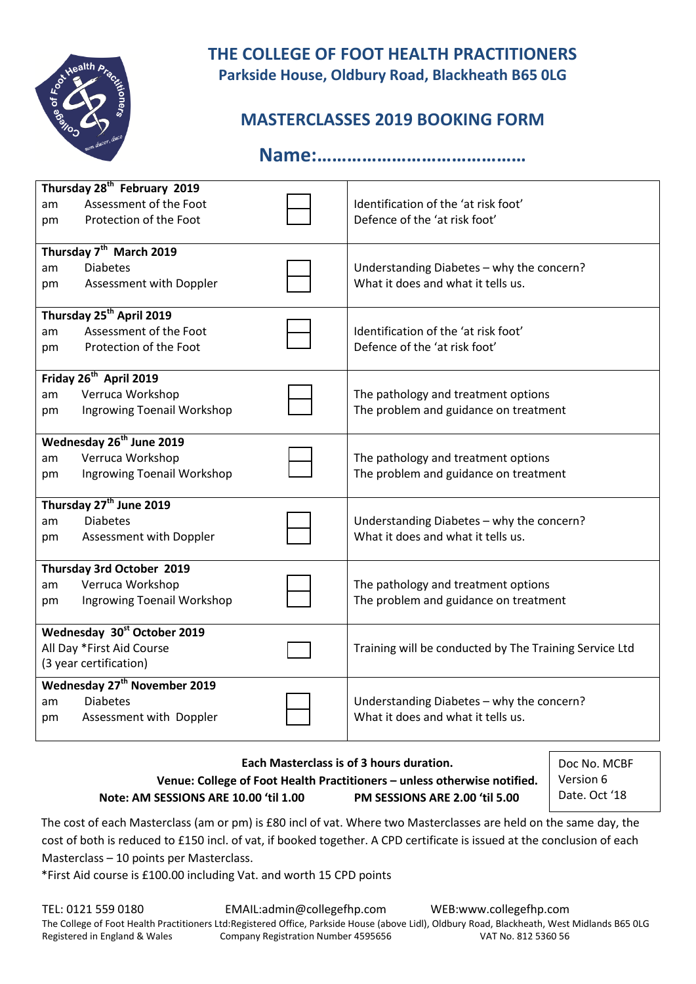

## **THE COLLEGE OF FOOT HEALTH PRACTITIONERS Parkside House, Oldbury Road, Blackheath B65 0LG**

# **MASTERCLASSES 2019 BOOKING FORM**

**Name:……………………………………**

| Thursday 28 <sup>th</sup> February 2019 |                                         |  |                                                        |  |  |  |  |  |
|-----------------------------------------|-----------------------------------------|--|--------------------------------------------------------|--|--|--|--|--|
| am                                      | Assessment of the Foot                  |  | Identification of the 'at risk foot'                   |  |  |  |  |  |
| pm                                      | Protection of the Foot                  |  | Defence of the 'at risk foot'                          |  |  |  |  |  |
|                                         |                                         |  |                                                        |  |  |  |  |  |
| Thursday 7 <sup>th</sup> March 2019     |                                         |  |                                                        |  |  |  |  |  |
| am                                      | <b>Diabetes</b>                         |  | Understanding Diabetes - why the concern?              |  |  |  |  |  |
| pm                                      | Assessment with Doppler                 |  | What it does and what it tells us.                     |  |  |  |  |  |
|                                         | Thursday 25 <sup>th</sup> April 2019    |  |                                                        |  |  |  |  |  |
| am                                      | Assessment of the Foot                  |  | Identification of the 'at risk foot'                   |  |  |  |  |  |
| pm                                      | Protection of the Foot                  |  | Defence of the 'at risk foot'                          |  |  |  |  |  |
|                                         |                                         |  |                                                        |  |  |  |  |  |
| Friday 26 <sup>th</sup> April 2019      |                                         |  |                                                        |  |  |  |  |  |
| am                                      | Verruca Workshop                        |  | The pathology and treatment options                    |  |  |  |  |  |
| pm                                      | Ingrowing Toenail Workshop              |  | The problem and guidance on treatment                  |  |  |  |  |  |
|                                         |                                         |  |                                                        |  |  |  |  |  |
| Wednesday 26 <sup>th</sup> June 2019    |                                         |  |                                                        |  |  |  |  |  |
| am                                      | Verruca Workshop                        |  | The pathology and treatment options                    |  |  |  |  |  |
| pm                                      | Ingrowing Toenail Workshop              |  | The problem and guidance on treatment                  |  |  |  |  |  |
| Thursday 27 <sup>th</sup> June 2019     |                                         |  |                                                        |  |  |  |  |  |
| am                                      | <b>Diabetes</b>                         |  | Understanding Diabetes - why the concern?              |  |  |  |  |  |
| pm                                      | Assessment with Doppler                 |  | What it does and what it tells us.                     |  |  |  |  |  |
|                                         |                                         |  |                                                        |  |  |  |  |  |
|                                         | Thursday 3rd October 2019               |  |                                                        |  |  |  |  |  |
| am                                      | Verruca Workshop                        |  | The pathology and treatment options                    |  |  |  |  |  |
| pm                                      | Ingrowing Toenail Workshop              |  | The problem and guidance on treatment                  |  |  |  |  |  |
|                                         |                                         |  |                                                        |  |  |  |  |  |
|                                         | Wednesday 30 <sup>st</sup> October 2019 |  |                                                        |  |  |  |  |  |
|                                         | All Day *First Aid Course               |  | Training will be conducted by The Training Service Ltd |  |  |  |  |  |
| (3 year certification)                  |                                         |  |                                                        |  |  |  |  |  |
| <b>Wednesday 27th November 2019</b>     |                                         |  |                                                        |  |  |  |  |  |
| am                                      | <b>Diabetes</b>                         |  | Understanding Diabetes - why the concern?              |  |  |  |  |  |
| рm                                      | Assessment with Doppler                 |  | What it does and what it tells us.                     |  |  |  |  |  |
|                                         |                                         |  |                                                        |  |  |  |  |  |

#### **Each Masterclass is of 3 hours duration. Venue: College of Foot Health Practitioners – unless otherwise notified. Note: AM SESSIONS ARE 10.00 'til 1.00 PM SESSIONS ARE 2.00 'til 5.00**

Doc No. MCBF Version 6 Date. Oct '18

The cost of each Masterclass (am or pm) is £80 incl of vat. Where two Masterclasses are held on the same day, the cost of both is reduced to £150 incl. of vat, if booked together. A CPD certificate is issued at the conclusion of each Masterclass – 10 points per Masterclass.

\*First Aid course is £100.00 including Vat. and worth 15 CPD points